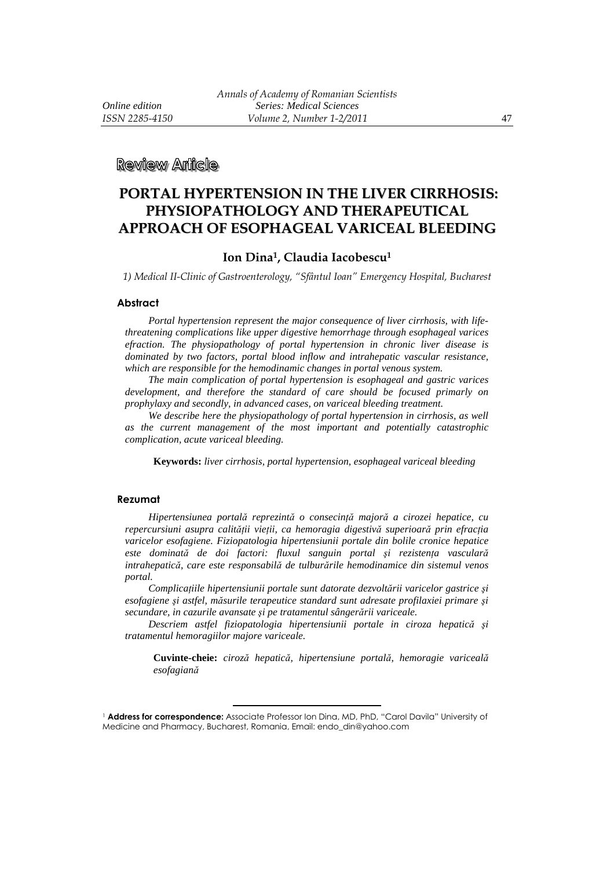**Review Anicle** 

# **PORTAL HYPERTENSION IN THE LIVER CIRRHOSIS: PHYSIOPATHOLOGY AND THERAPEUTICAL APPROACH OF ESOPHAGEAL VARICEAL BLEEDING**

#### **Ion Dina1, Claudia Iacobescu<sup>1</sup>**

*1) Medical II-Clinic of Gastroenterology, "Sfântul Ioan" Emergency Hospital, Bucharest* 

#### **Abstract**

*Portal hypertension represent the major consequence of liver cirrhosis, with lifethreatening complications like upper digestive hemorrhage through esophageal varices efraction. The physiopathology of portal hypertension in chronic liver disease is dominated by two factors, portal blood inflow and intrahepatic vascular resistance, which are responsible for the hemodinamic changes in portal venous system.* 

*The main complication of portal hypertension is esophageal and gastric varices development, and therefore the standard of care should be focused primarly on prophylaxy and secondly, in advanced cases, on variceal bleeding treatment.* 

*We describe here the physiopathology of portal hypertension in cirrhosis, as well as the current management of the most important and potentially catastrophic complication, acute variceal bleeding.* 

**Keywords:** *liver cirrhosis, portal hypertension, esophageal variceal bleeding* 

#### **Rezumat**

*Hipertensiunea portală reprezintă o consecinţă majoră a cirozei hepatice, cu repercursiuni asupra calităţii vieţii, ca hemoragia digestivă superioară prin efracţia varicelor esofagiene. Fiziopatologia hipertensiunii portale din bolile cronice hepatice este dominată de doi factori: fluxul sanguin portal şi rezistenţa vasculară intrahepatică, care este responsabilă de tulburările hemodinamice din sistemul venos portal.* 

*Complicaţiile hipertensiunii portale sunt datorate dezvoltării varicelor gastrice şi esofagiene şi astfel, măsurile terapeutice standard sunt adresate profilaxiei primare şi secundare, in cazurile avansate şi pe tratamentul sângerării variceale.* 

*Descriem astfel fiziopatologia hipertensiunii portale in ciroza hepatică şi tratamentul hemoragiilor majore variceale.* 

**Cuvinte-cheie:** *ciroză hepatică, hipertensiune portală, hemoragie variceală esofagiană*

 $\overline{a}$ 

<sup>&</sup>lt;sup>1</sup> Address for correspondence: Associate Professor Ion Dina, MD, PhD, "Carol Davila" University of Medicine and Pharmacy, Bucharest, Romania, Email: endo\_din@yahoo.com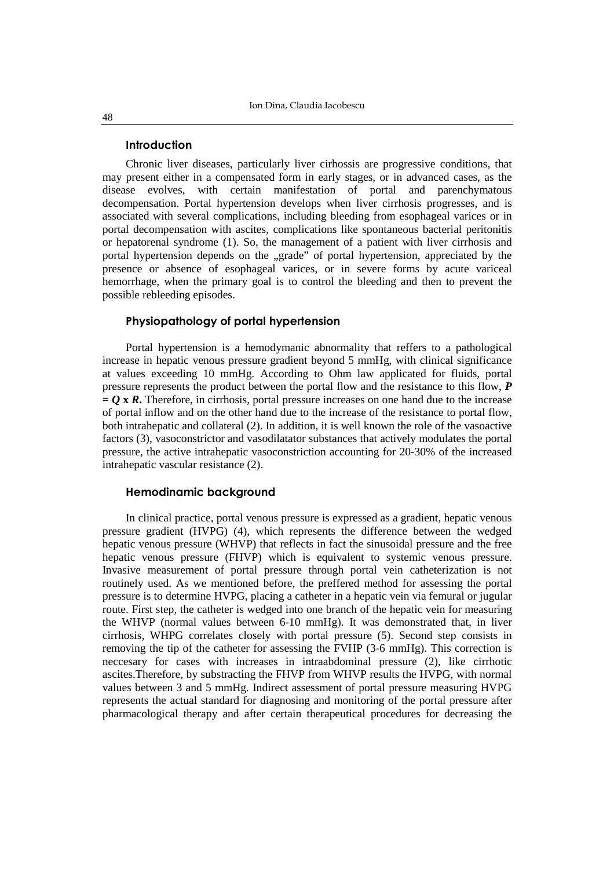#### **Introduction**

Chronic liver diseases, particularly liver cirhossis are progressive conditions, that may present either in a compensated form in early stages, or in advanced cases, as the disease evolves, with certain manifestation of portal and parenchymatous decompensation. Portal hypertension develops when liver cirrhosis progresses, and is associated with several complications, including bleeding from esophageal varices or in portal decompensation with ascites, complications like spontaneous bacterial peritonitis or hepatorenal syndrome (1). So, the management of a patient with liver cirrhosis and portal hypertension depends on the "grade" of portal hypertension, appreciated by the presence or absence of esophageal varices, or in severe forms by acute variceal hemorrhage, when the primary goal is to control the bleeding and then to prevent the possible rebleeding episodes.

# **Physiopathology of portal hypertension**

Portal hypertension is a hemodymanic abnormality that reffers to a pathological increase in hepatic venous pressure gradient beyond 5 mmHg, with clinical significance at values exceeding 10 mmHg. According to Ohm law applicated for fluids, portal pressure represents the product between the portal flow and the resistance to this flow, *P*   $= Q \times R$ . Therefore, in cirrhosis, portal pressure increases on one hand due to the increase of portal inflow and on the other hand due to the increase of the resistance to portal flow, both intrahepatic and collateral (2). In addition, it is well known the role of the vasoactive factors (3), vasoconstrictor and vasodilatator substances that actively modulates the portal pressure, the active intrahepatic vasoconstriction accounting for 20-30% of the increased intrahepatic vascular resistance (2).

# **Hemodinamic background**

In clinical practice, portal venous pressure is expressed as a gradient, hepatic venous pressure gradient (HVPG) (4), which represents the difference between the wedged hepatic venous pressure (WHVP) that reflects in fact the sinusoidal pressure and the free hepatic venous pressure (FHVP) which is equivalent to systemic venous pressure. Invasive measurement of portal pressure through portal vein catheterization is not routinely used. As we mentioned before, the preffered method for assessing the portal pressure is to determine HVPG, placing a catheter in a hepatic vein via femural or jugular route. First step, the catheter is wedged into one branch of the hepatic vein for measuring the WHVP (normal values between 6-10 mmHg). It was demonstrated that, in liver cirrhosis, WHPG correlates closely with portal pressure (5). Second step consists in removing the tip of the catheter for assessing the FVHP (3-6 mmHg). This correction is neccesary for cases with increases in intraabdominal pressure (2), like cirrhotic ascites.Therefore, by substracting the FHVP from WHVP results the HVPG, with normal values between 3 and 5 mmHg. Indirect assessment of portal pressure measuring HVPG represents the actual standard for diagnosing and monitoring of the portal pressure after pharmacological therapy and after certain therapeutical procedures for decreasing the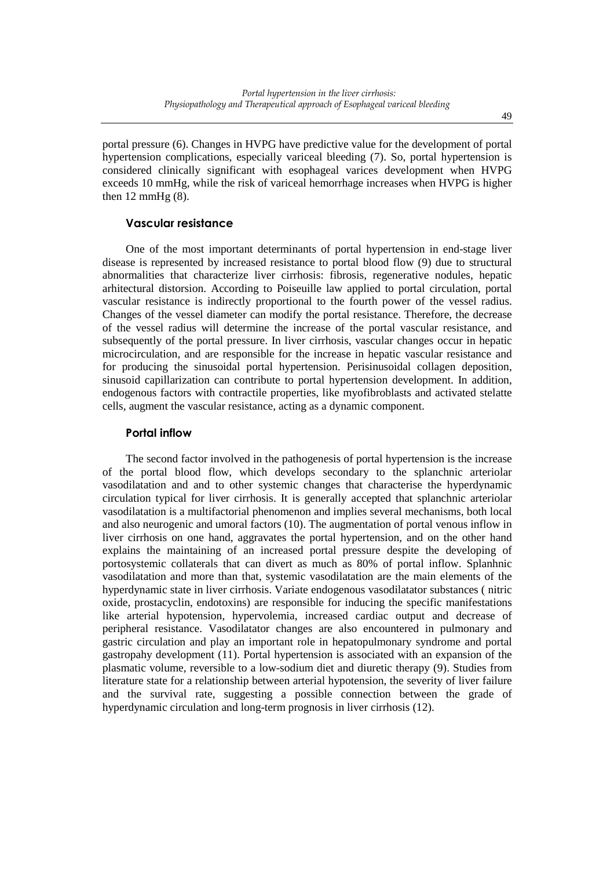portal pressure (6). Changes in HVPG have predictive value for the development of portal hypertension complications, especially variceal bleeding (7). So, portal hypertension is considered clinically significant with esophageal varices development when HVPG exceeds 10 mmHg, while the risk of variceal hemorrhage increases when HVPG is higher then  $12 \text{ mmHg}$  (8).

## **Vascular resistance**

One of the most important determinants of portal hypertension in end-stage liver disease is represented by increased resistance to portal blood flow (9) due to structural abnormalities that characterize liver cirrhosis: fibrosis, regenerative nodules, hepatic arhitectural distorsion. According to Poiseuille law applied to portal circulation, portal vascular resistance is indirectly proportional to the fourth power of the vessel radius. Changes of the vessel diameter can modify the portal resistance. Therefore, the decrease of the vessel radius will determine the increase of the portal vascular resistance, and subsequently of the portal pressure. In liver cirrhosis, vascular changes occur in hepatic microcirculation, and are responsible for the increase in hepatic vascular resistance and for producing the sinusoidal portal hypertension. Perisinusoidal collagen deposition, sinusoid capillarization can contribute to portal hypertension development. In addition, endogenous factors with contractile properties, like myofibroblasts and activated stelatte cells, augment the vascular resistance, acting as a dynamic component.

### **Portal inflow**

The second factor involved in the pathogenesis of portal hypertension is the increase of the portal blood flow, which develops secondary to the splanchnic arteriolar vasodilatation and and to other systemic changes that characterise the hyperdynamic circulation typical for liver cirrhosis. It is generally accepted that splanchnic arteriolar vasodilatation is a multifactorial phenomenon and implies several mechanisms, both local and also neurogenic and umoral factors (10). The augmentation of portal venous inflow in liver cirrhosis on one hand, aggravates the portal hypertension, and on the other hand explains the maintaining of an increased portal pressure despite the developing of portosystemic collaterals that can divert as much as 80% of portal inflow. Splanhnic vasodilatation and more than that, systemic vasodilatation are the main elements of the hyperdynamic state in liver cirrhosis. Variate endogenous vasodilatator substances ( nitric oxide, prostacyclin, endotoxins) are responsible for inducing the specific manifestations like arterial hypotension, hypervolemia, increased cardiac output and decrease of peripheral resistance. Vasodilatator changes are also encountered in pulmonary and gastric circulation and play an important role in hepatopulmonary syndrome and portal gastropahy development (11). Portal hypertension is associated with an expansion of the plasmatic volume, reversible to a low-sodium diet and diuretic therapy (9). Studies from literature state for a relationship between arterial hypotension, the severity of liver failure and the survival rate, suggesting a possible connection between the grade of hyperdynamic circulation and long-term prognosis in liver cirrhosis (12).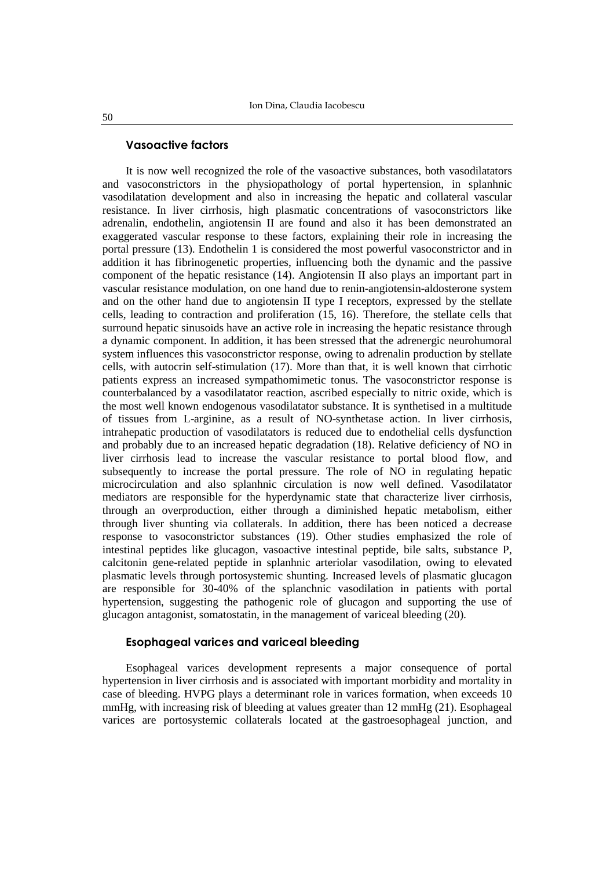#### **Vasoactive factors**

It is now well recognized the role of the vasoactive substances, both vasodilatators and vasoconstrictors in the physiopathology of portal hypertension, in splanhnic vasodilatation development and also in increasing the hepatic and collateral vascular resistance. In liver cirrhosis, high plasmatic concentrations of vasoconstrictors like adrenalin, endothelin, angiotensin II are found and also it has been demonstrated an exaggerated vascular response to these factors, explaining their role in increasing the portal pressure (13). Endothelin 1 is considered the most powerful vasoconstrictor and in addition it has fibrinogenetic properties, influencing both the dynamic and the passive component of the hepatic resistance (14). Angiotensin II also plays an important part in vascular resistance modulation, on one hand due to renin-angiotensin-aldosterone system and on the other hand due to angiotensin II type I receptors, expressed by the stellate cells, leading to contraction and proliferation (15, 16). Therefore, the stellate cells that surround hepatic sinusoids have an active role in increasing the hepatic resistance through a dynamic component. In addition, it has been stressed that the adrenergic neurohumoral system influences this vasoconstrictor response, owing to adrenalin production by stellate cells, with autocrin self-stimulation (17). More than that, it is well known that cirrhotic patients express an increased sympathomimetic tonus. The vasoconstrictor response is counterbalanced by a vasodilatator reaction, ascribed especially to nitric oxide, which is the most well known endogenous vasodilatator substance. It is synthetised in a multitude of tissues from L-arginine, as a result of NO-synthetase action. In liver cirrhosis, intrahepatic production of vasodilatators is reduced due to endothelial cells dysfunction and probably due to an increased hepatic degradation (18). Relative deficiency of NO in liver cirrhosis lead to increase the vascular resistance to portal blood flow, and subsequently to increase the portal pressure. The role of NO in regulating hepatic microcirculation and also splanhnic circulation is now well defined. Vasodilatator mediators are responsible for the hyperdynamic state that characterize liver cirrhosis, through an overproduction, either through a diminished hepatic metabolism, either through liver shunting via collaterals. In addition, there has been noticed a decrease response to vasoconstrictor substances (19). Other studies emphasized the role of intestinal peptides like glucagon, vasoactive intestinal peptide, bile salts, substance P, calcitonin gene-related peptide in splanhnic arteriolar vasodilation, owing to elevated plasmatic levels through portosystemic shunting. Increased levels of plasmatic glucagon are responsible for 30-40% of the splanchnic vasodilation in patients with portal hypertension, suggesting the pathogenic role of glucagon and supporting the use of glucagon antagonist, somatostatin, in the management of variceal bleeding (20).

#### **Esophageal varices and variceal bleeding**

Esophageal varices development represents a major consequence of portal hypertension in liver cirrhosis and is associated with important morbidity and mortality in case of bleeding. HVPG plays a determinant role in varices formation, when exceeds 10 mmHg, with increasing risk of bleeding at values greater than 12 mmHg (21). Esophageal varices are portosystemic collaterals located at the gastroesophageal junction, and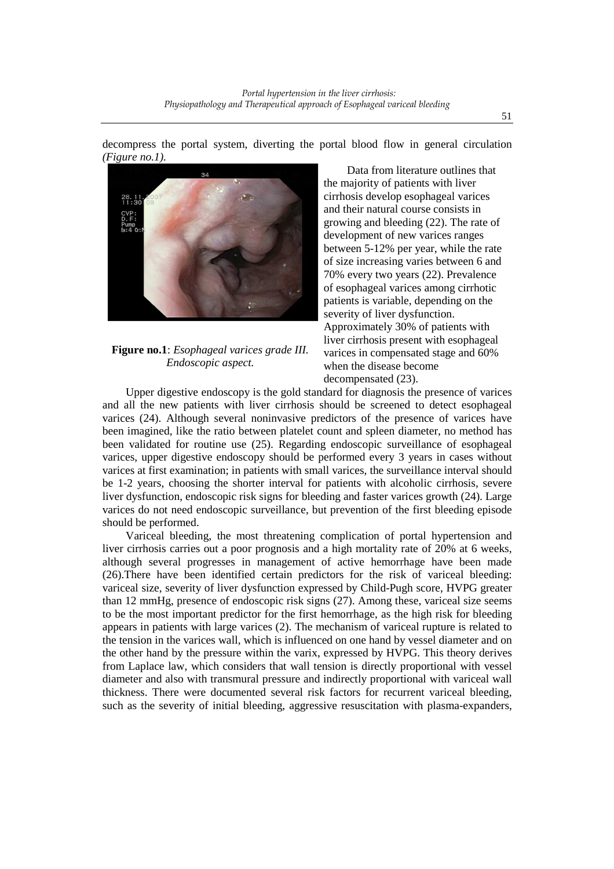decompress the portal system, diverting the portal blood flow in general circulation *(Figure no.1).* 



# **Figure no.1**: *Esophageal varices grade III. Endoscopic aspect.*

Data from literature outlines that the majority of patients with liver cirrhosis develop esophageal varices and their natural course consists in growing and bleeding (22). The rate of development of new varices ranges between 5-12% per year, while the rate of size increasing varies between 6 and 70% every two years (22). Prevalence of esophageal varices among cirrhotic patients is variable, depending on the severity of liver dysfunction. Approximately 30% of patients with liver cirrhosis present with esophageal varices in compensated stage and 60% when the disease become decompensated (23).

Upper digestive endoscopy is the gold standard for diagnosis the presence of varices and all the new patients with liver cirrhosis should be screened to detect esophageal varices (24). Although several noninvasive predictors of the presence of varices have been imagined, like the ratio between platelet count and spleen diameter, no method has been validated for routine use (25). Regarding endoscopic surveillance of esophageal varices, upper digestive endoscopy should be performed every 3 years in cases without varices at first examination; in patients with small varices, the surveillance interval should be 1-2 years, choosing the shorter interval for patients with alcoholic cirrhosis, severe liver dysfunction, endoscopic risk signs for bleeding and faster varices growth (24). Large varices do not need endoscopic surveillance, but prevention of the first bleeding episode should be performed.

Variceal bleeding, the most threatening complication of portal hypertension and liver cirrhosis carries out a poor prognosis and a high mortality rate of 20% at 6 weeks, although several progresses in management of active hemorrhage have been made (26).There have been identified certain predictors for the risk of variceal bleeding: variceal size, severity of liver dysfunction expressed by Child-Pugh score, HVPG greater than 12 mmHg, presence of endoscopic risk signs (27). Among these, variceal size seems to be the most important predictor for the first hemorrhage, as the high risk for bleeding appears in patients with large varices (2). The mechanism of variceal rupture is related to the tension in the varices wall, which is influenced on one hand by vessel diameter and on the other hand by the pressure within the varix, expressed by HVPG. This theory derives from Laplace law, which considers that wall tension is directly proportional with vessel diameter and also with transmural pressure and indirectly proportional with variceal wall thickness. There were documented several risk factors for recurrent variceal bleeding, such as the severity of initial bleeding, aggressive resuscitation with plasma-expanders,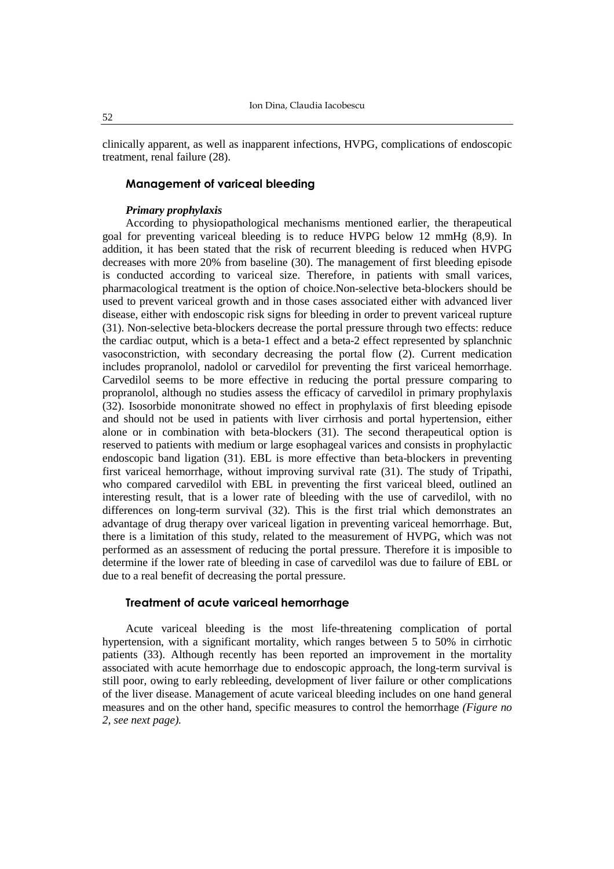clinically apparent, as well as inapparent infections, HVPG, complications of endoscopic treatment, renal failure (28).

#### **Management of variceal bleeding**

#### *Primary prophylaxis*

According to physiopathological mechanisms mentioned earlier, the therapeutical goal for preventing variceal bleeding is to reduce HVPG below 12 mmHg (8,9). In addition, it has been stated that the risk of recurrent bleeding is reduced when HVPG decreases with more 20% from baseline (30). The management of first bleeding episode is conducted according to variceal size. Therefore, in patients with small varices, pharmacological treatment is the option of choice.Non-selective beta-blockers should be used to prevent variceal growth and in those cases associated either with advanced liver disease, either with endoscopic risk signs for bleeding in order to prevent variceal rupture (31). Non-selective beta-blockers decrease the portal pressure through two effects: reduce the cardiac output, which is a beta-1 effect and a beta-2 effect represented by splanchnic vasoconstriction, with secondary decreasing the portal flow (2). Current medication includes propranolol, nadolol or carvedilol for preventing the first variceal hemorrhage. Carvedilol seems to be more effective in reducing the portal pressure comparing to propranolol, although no studies assess the efficacy of carvedilol in primary prophylaxis (32). Isosorbide mononitrate showed no effect in prophylaxis of first bleeding episode and should not be used in patients with liver cirrhosis and portal hypertension, either alone or in combination with beta-blockers (31). The second therapeutical option is reserved to patients with medium or large esophageal varices and consists in prophylactic endoscopic band ligation (31). EBL is more effective than beta-blockers in preventing first variceal hemorrhage, without improving survival rate (31). The study of Tripathi, who compared carvedilol with EBL in preventing the first variceal bleed, outlined an interesting result, that is a lower rate of bleeding with the use of carvedilol, with no differences on long-term survival (32). This is the first trial which demonstrates an advantage of drug therapy over variceal ligation in preventing variceal hemorrhage. But, there is a limitation of this study, related to the measurement of HVPG, which was not performed as an assessment of reducing the portal pressure. Therefore it is imposible to determine if the lower rate of bleeding in case of carvedilol was due to failure of EBL or due to a real benefit of decreasing the portal pressure.

## **Treatment of acute variceal hemorrhage**

Acute variceal bleeding is the most life-threatening complication of portal hypertension, with a significant mortality, which ranges between 5 to 50% in cirrhotic patients (33). Although recently has been reported an improvement in the mortality associated with acute hemorrhage due to endoscopic approach, the long-term survival is still poor, owing to early rebleeding, development of liver failure or other complications of the liver disease. Management of acute variceal bleeding includes on one hand general measures and on the other hand, specific measures to control the hemorrhage *(Figure no 2, see next page).* 

52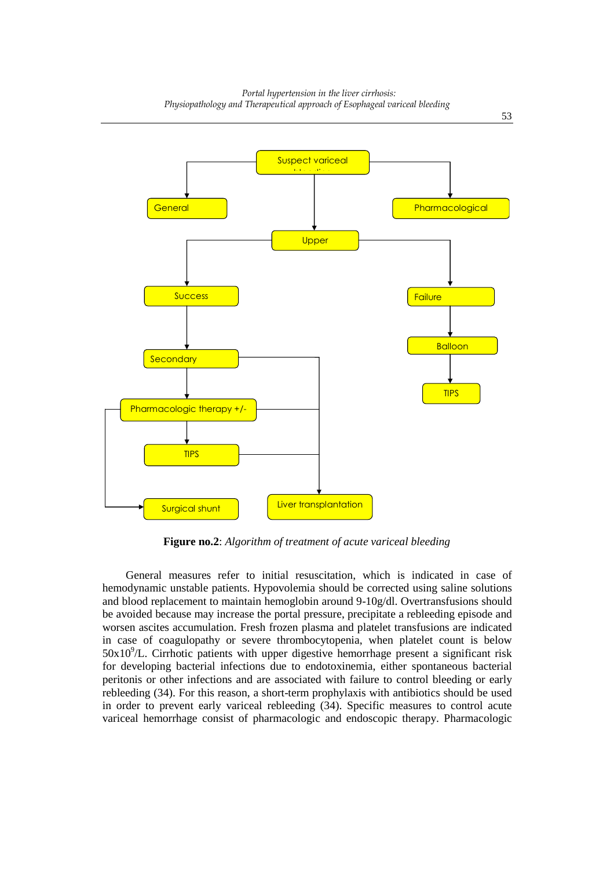

**Figure no.2**: *Algorithm of treatment of acute variceal bleeding* 

General measures refer to initial resuscitation, which is indicated in case of hemodynamic unstable patients. Hypovolemia should be corrected using saline solutions and blood replacement to maintain hemoglobin around 9-10g/dl. Overtransfusions should be avoided because may increase the portal pressure, precipitate a rebleeding episode and worsen ascites accumulation. Fresh frozen plasma and platelet transfusions are indicated in case of coagulopathy or severe thrombocytopenia, when platelet count is below  $50x10<sup>9</sup>/L$ . Cirrhotic patients with upper digestive hemorrhage present a significant risk for developing bacterial infections due to endotoxinemia, either spontaneous bacterial peritonis or other infections and are associated with failure to control bleeding or early rebleeding (34). For this reason, a short-term prophylaxis with antibiotics should be used in order to prevent early variceal rebleeding (34). Specific measures to control acute variceal hemorrhage consist of pharmacologic and endoscopic therapy. Pharmacologic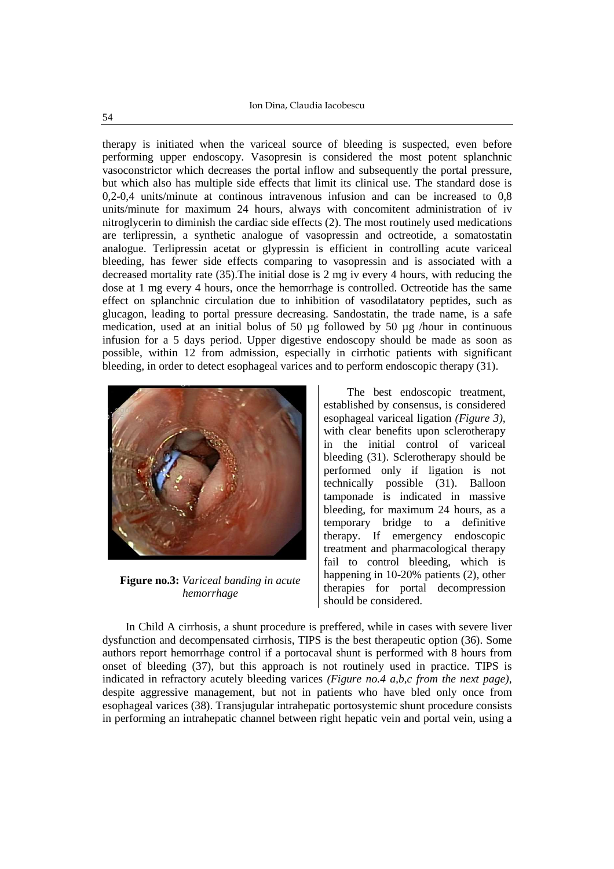therapy is initiated when the variceal source of bleeding is suspected, even before performing upper endoscopy. Vasopresin is considered the most potent splanchnic vasoconstrictor which decreases the portal inflow and subsequently the portal pressure, but which also has multiple side effects that limit its clinical use. The standard dose is 0,2-0,4 units/minute at continous intravenous infusion and can be increased to 0,8 units/minute for maximum 24 hours, always with concomitent administration of iv nitroglycerin to diminish the cardiac side effects (2). The most routinely used medications are terlipressin, a synthetic analogue of vasopressin and octreotide, a somatostatin analogue. Terlipressin acetat or glypressin is efficient in controlling acute variceal bleeding, has fewer side effects comparing to vasopressin and is associated with a decreased mortality rate (35).The initial dose is 2 mg iv every 4 hours, with reducing the dose at 1 mg every 4 hours, once the hemorrhage is controlled. Octreotide has the same effect on splanchnic circulation due to inhibition of vasodilatatory peptides, such as glucagon, leading to portal pressure decreasing. Sandostatin, the trade name, is a safe medication, used at an initial bolus of 50 µg followed by 50 µg /hour in continuous infusion for a 5 days period. Upper digestive endoscopy should be made as soon as possible, within 12 from admission, especially in cirrhotic patients with significant bleeding, in order to detect esophageal varices and to perform endoscopic therapy (31).



**Figure no.3:** *Variceal banding in acute hemorrhage*

The best endoscopic treatment, established by consensus, is considered esophageal variceal ligation *(Figure 3),* with clear benefits upon sclerotherapy in the initial control of variceal bleeding (31). Sclerotherapy should be performed only if ligation is not technically possible (31). Balloon tamponade is indicated in massive bleeding, for maximum 24 hours, as a temporary bridge to a definitive therapy. If emergency endoscopic treatment and pharmacological therapy fail to control bleeding, which is happening in 10-20% patients (2), other therapies for portal decompression should be considered.

In Child A cirrhosis, a shunt procedure is preffered, while in cases with severe liver dysfunction and decompensated cirrhosis, TIPS is the best therapeutic option (36). Some authors report hemorrhage control if a portocaval shunt is performed with 8 hours from onset of bleeding (37), but this approach is not routinely used in practice. TIPS is indicated in refractory acutely bleeding varices *(Figure no.4 a,b,c from the next page),* despite aggressive management, but not in patients who have bled only once from esophageal varices (38). Transjugular intrahepatic portosystemic shunt procedure consists in performing an intrahepatic channel between right hepatic vein and portal vein, using a

54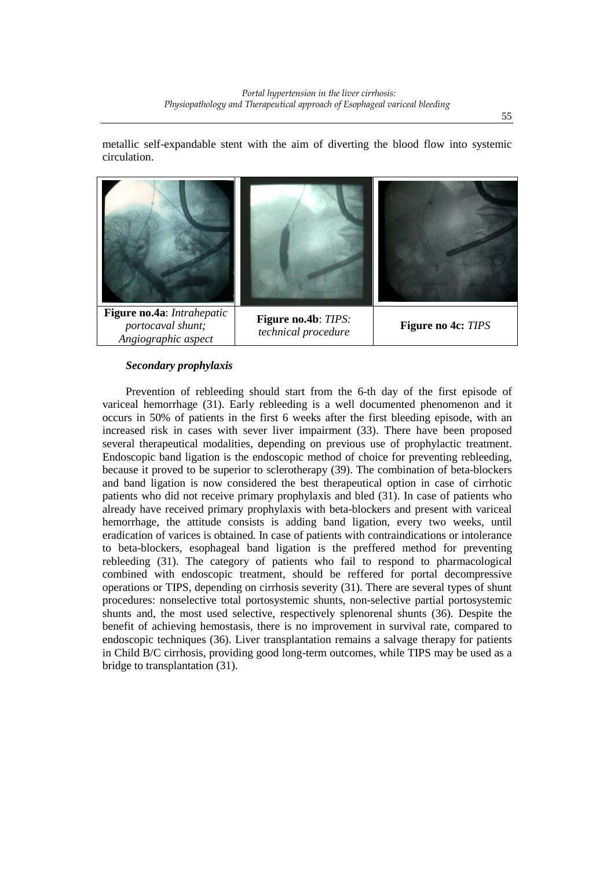metallic self-expandable stent with the aim of diverting the blood flow into systemic circulation.



### *Secondary prophylaxis*

Prevention of rebleeding should start from the 6-th day of the first episode of variceal hemorrhage (31). Early rebleeding is a well documented phenomenon and it occurs in 50% of patients in the first 6 weeks after the first bleeding episode, with an increased risk in cases with sever liver impairment (33). There have been proposed several therapeutical modalities, depending on previous use of prophylactic treatment. Endoscopic band ligation is the endoscopic method of choice for preventing rebleeding, because it proved to be superior to sclerotherapy (39). The combination of beta-blockers and band ligation is now considered the best therapeutical option in case of cirrhotic patients who did not receive primary prophylaxis and bled (31). In case of patients who already have received primary prophylaxis with beta-blockers and present with variceal hemorrhage, the attitude consists is adding band ligation, every two weeks, until eradication of varices is obtained. In case of patients with contraindications or intolerance to beta-blockers, esophageal band ligation is the preffered method for preventing rebleeding (31). The category of patients who fail to respond to pharmacological combined with endoscopic treatment, should be reffered for portal decompressive operations or TIPS, depending on cirrhosis severity (31). There are several types of shunt procedures: nonselective total portosystemic shunts, non-selective partial portosystemic shunts and, the most used selective, respectively splenorenal shunts (36). Despite the benefit of achieving hemostasis, there is no improvement in survival rate, compared to endoscopic techniques (36). Liver transplantation remains a salvage therapy for patients in Child B/C cirrhosis, providing good long-term outcomes, while TIPS may be used as a bridge to transplantation (31).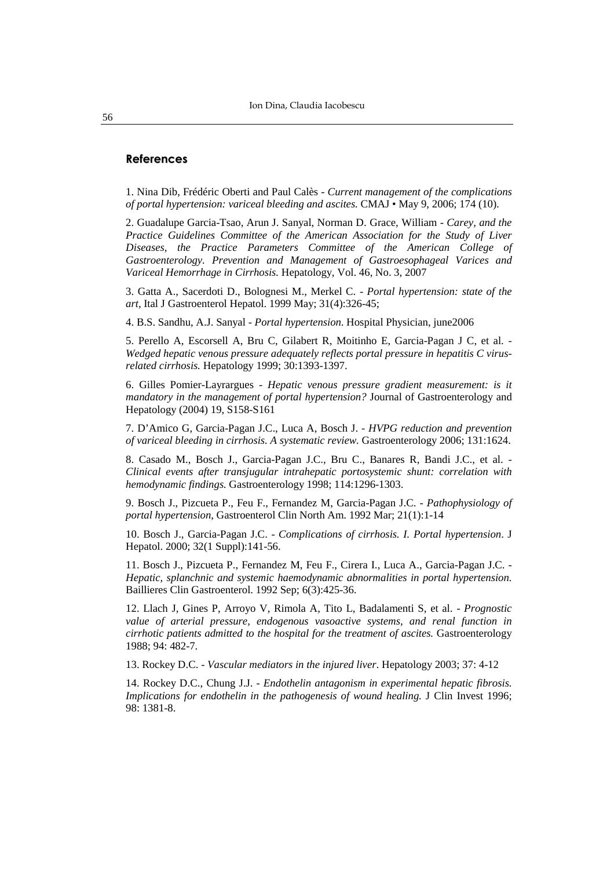#### **References**

1. Nina Dib, Frédéric Oberti and Paul Calès - *Current management of the complications of portal hypertension: variceal bleeding and ascites.* CMAJ • May 9, 2006; 174 (10).

2. Guadalupe Garcia-Tsao, Arun J. Sanyal, Norman D. Grace, William - *Carey, and the Practice Guidelines Committee of the American Association for the Study of Liver Diseases, the Practice Parameters Committee of the American College of Gastroenterology. Prevention and Management of Gastroesophageal Varices and Variceal Hemorrhage in Cirrhosis.* Hepatology, Vol. 46, No. 3, 2007

3. Gatta A., Sacerdoti D., Bolognesi M., Merkel C. - *Portal hypertension: state of the art*, Ital J Gastroenterol Hepatol. 1999 May; 31(4):326-45;

4. B.S. Sandhu, A.J. Sanyal - *Portal hypertension*. Hospital Physician, june2006

5. Perello A, Escorsell A, Bru C, Gilabert R, Moitinho E, Garcia-Pagan J C, et al. - *Wedged hepatic venous pressure adequately reflects portal pressure in hepatitis C virusrelated cirrhosis.* Hepatology 1999; 30:1393-1397.

6. Gilles Pomier-Layrargues - *Hepatic venous pressure gradient measurement: is it mandatory in the management of portal hypertension?* Journal of Gastroenterology and Hepatology (2004) 19, S158-S161

7. D'Amico G, Garcia-Pagan J.C., Luca A, Bosch J. - *HVPG reduction and prevention of variceal bleeding in cirrhosis. A systematic review.* Gastroenterology 2006; 131:1624.

8. Casado M., Bosch J., Garcia-Pagan J.C., Bru C., Banares R, Bandi J.C., et al. - *Clinical events after transjugular intrahepatic portosystemic shunt: correlation with hemodynamic findings.* Gastroenterology 1998; 114:1296-1303.

9. Bosch J., Pizcueta P., Feu F., Fernandez M, Garcia-Pagan J.C. - *Pathophysiology of portal hypertension*, Gastroenterol Clin North Am. 1992 Mar; 21(1):1-14

10. Bosch J., Garcia-Pagan J.C. - *Complications of cirrhosis. I. Portal hypertension*. J Hepatol. 2000; 32(1 Suppl):141-56.

11. Bosch J., Pizcueta P., Fernandez M, Feu F., Cirera I., Luca A., Garcia-Pagan J.C. - *Hepatic, splanchnic and systemic haemodynamic abnormalities in portal hypertension.* Baillieres Clin Gastroenterol. 1992 Sep; 6(3):425-36.

12. Llach J, Gines P, Arroyo V, Rimola A, Tito L, Badalamenti S, et al. - *Prognostic value of arterial pressure, endogenous vasoactive systems, and renal function in cirrhotic patients admitted to the hospital for the treatment of ascites.* Gastroenterology 1988; 94: 482-7.

13. Rockey D.C. - *Vascular mediators in the injured liver*. Hepatology 2003; 37: 4-12

14. Rockey D.C., Chung J.J. - *Endothelin antagonism in experimental hepatic fibrosis. Implications for endothelin in the pathogenesis of wound healing.* J Clin Invest 1996; 98: 1381-8.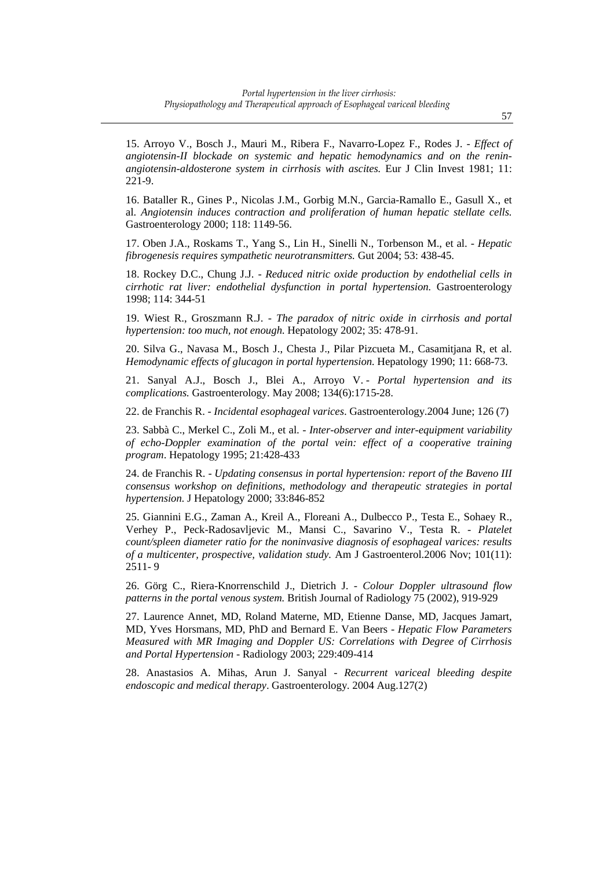15. Arroyo V., Bosch J., Mauri M., Ribera F., Navarro-Lopez F., Rodes J. - *Effect of angiotensin-II blockade on systemic and hepatic hemodynamics and on the reninangiotensin-aldosterone system in cirrhosis with ascites.* Eur J Clin Invest 1981; 11: 221-9.

16. Bataller R., Gines P., Nicolas J.M., Gorbig M.N., Garcia-Ramallo E., Gasull X., et al. *Angiotensin induces contraction and proliferation of human hepatic stellate cells.* Gastroenterology 2000; 118: 1149-56.

17. Oben J.A., Roskams T., Yang S., Lin H., Sinelli N., Torbenson M., et al. - *Hepatic fibrogenesis requires sympathetic neurotransmitters.* Gut 2004; 53: 438-45.

18. Rockey D.C., Chung J.J. - *Reduced nitric oxide production by endothelial cells in cirrhotic rat liver: endothelial dysfunction in portal hypertension.* Gastroenterology 1998; 114: 344-51

19. Wiest R., Groszmann R.J. - *The paradox of nitric oxide in cirrhosis and portal hypertension: too much, not enough*. Hepatology 2002; 35: 478-91.

20. Silva G., Navasa M., Bosch J., Chesta J., Pilar Pizcueta M., Casamitjana R, et al. *Hemodynamic effects of glucagon in portal hypertension.* Hepatology 1990; 11: 668-73.

21. Sanyal A.J., Bosch J., Blei A., Arroyo V. - *Portal hypertension and its complications.* Gastroenterology. May 2008; 134(6):1715-28.

22. de Franchis R. - *Incidental esophageal varices*. Gastroenterology.2004 June; 126 (7)

23. Sabbà C., Merkel C., Zoli M., et al. - *Inter-observer and inter-equipment variability of echo-Doppler examination of the portal vein: effect of a cooperative training program*. Hepatology 1995; 21:428-433

24. de Franchis R. - *Updating consensus in portal hypertension: report of the Baveno III consensus workshop on definitions, methodology and therapeutic strategies in portal hypertension.* J Hepatology 2000; 33:846-852

25. Giannini E.G., Zaman A., Kreil A., Floreani A., Dulbecco P., Testa E., Sohaey R., Verhey P., Peck-Radosavljevic M., Mansi C., Savarino V., Testa R. - *Platelet count/spleen diameter ratio for the noninvasive diagnosis of esophageal varices: results of a multicenter, prospective, validation study.* Am J Gastroenterol.2006 Nov; 101(11): 2511- 9

26. Görg C., Riera-Knorrenschild J., Dietrich J. - *Colour Doppler ultrasound flow patterns in the portal venous system.* British Journal of Radiology 75 (2002), 919-929

27. Laurence Annet, MD, Roland Materne, MD, Etienne Danse, MD, Jacques Jamart, MD, Yves Horsmans, MD, PhD and Bernard E. Van Beers - *Hepatic Flow Parameters Measured with MR Imaging and Doppler US: Correlations with Degree of Cirrhosis and Portal Hypertension* - Radiology 2003; 229:409-414

28. Anastasios A. Mihas, Arun J. Sanyal - *Recurrent variceal bleeding despite endoscopic and medical therapy*. Gastroenterology. 2004 Aug.127(2)